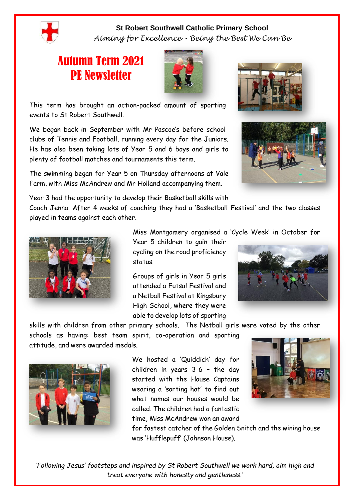

**St Robert Southwell Catholic Primary School** *Aiming for Excellence - Being the Best We Can Be*

## Autumn Term 2021 PE Newsletter



This term has brought an action-packed amount of sporting events to St Robert Southwell.

We began back in September with Mr Pascoe's before school clubs of Tennis and Football, running every day for the Juniors. He has also been taking lots of Year 5 and 6 boys and girls to plenty of football matches and tournaments this term.

The swimming began for Year 5 on Thursday afternoons at Vale Farm, with Miss McAndrew and Mr Holland accompanying them.

Year 3 had the opportunity to develop their Basketball skills with

Coach Jenna. After 4 weeks of coaching they had a 'Basketball Festival' and the two classes played in teams against each other.



Miss Montgomery organised a 'Cycle Week' in October for

Year 5 children to gain their cycling on the road proficiency status.

Groups of girls in Year 5 girls attended a Futsal Festival and a Netball Festival at Kingsbury High School, where they were able to develop lots of sporting



skills with children from other primary schools. The Netball girls were voted by the other

schools as having: best team spirit, co-operation and sporting attitude, and were awarded medals.



We hosted a 'Quiddich' day for children in years 3-6 – the day started with the House Captains wearing a 'sorting hat' to find out what names our houses would be called. The children had a fantastic time, Miss McAndrew won an award



for fastest catcher of the Golden Snitch and the wining house was 'Hufflepuff' (Johnson House).

*'Following Jesus' footsteps and inspired by St Robert Southwell we work hard, aim high and treat everyone with honesty and gentleness.'*